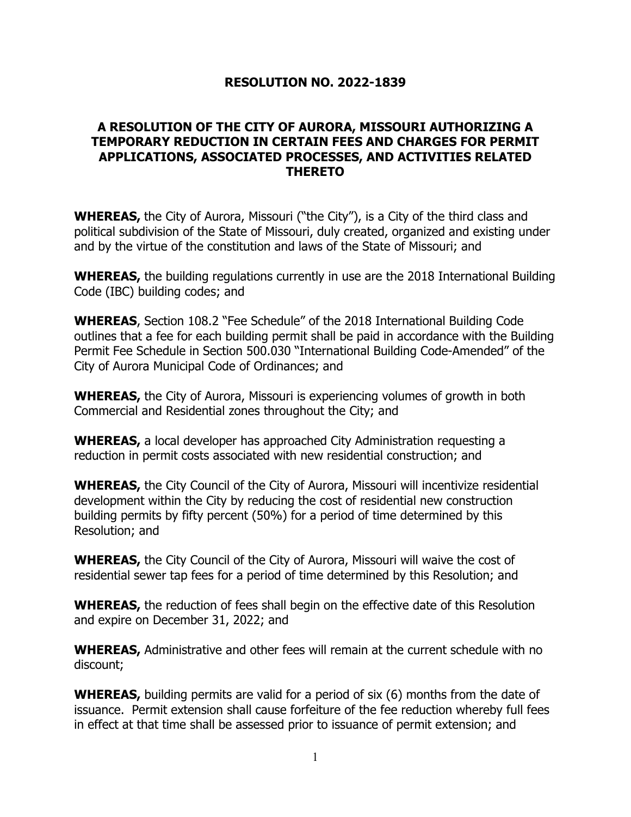## **RESOLUTION NO. 2022-1839**

## **A RESOLUTION OF THE CITY OF AURORA, MISSOURI AUTHORIZING A TEMPORARY REDUCTION IN CERTAIN FEES AND CHARGES FOR PERMIT APPLICATIONS, ASSOCIATED PROCESSES, AND ACTIVITIES RELATED THERETO**

**WHEREAS,** the City of Aurora, Missouri ("the City"), is a City of the third class and political subdivision of the State of Missouri, duly created, organized and existing under and by the virtue of the constitution and laws of the State of Missouri; and

**WHEREAS,** the building regulations currently in use are the 2018 International Building Code (IBC) building codes; and

**WHEREAS**, Section 108.2 "Fee Schedule" of the 2018 International Building Code outlines that a fee for each building permit shall be paid in accordance with the Building Permit Fee Schedule in Section 500.030 "International Building Code-Amended" of the City of Aurora Municipal Code of Ordinances; and

**WHEREAS,** the City of Aurora, Missouri is experiencing volumes of growth in both Commercial and Residential zones throughout the City; and

**WHEREAS,** a local developer has approached City Administration requesting a reduction in permit costs associated with new residential construction; and

**WHEREAS,** the City Council of the City of Aurora, Missouri will incentivize residential development within the City by reducing the cost of residential new construction building permits by fifty percent (50%) for a period of time determined by this Resolution; and

**WHEREAS,** the City Council of the City of Aurora, Missouri will waive the cost of residential sewer tap fees for a period of time determined by this Resolution; and

**WHEREAS,** the reduction of fees shall begin on the effective date of this Resolution and expire on December 31, 2022; and

**WHEREAS,** Administrative and other fees will remain at the current schedule with no discount;

**WHEREAS,** building permits are valid for a period of six (6) months from the date of issuance. Permit extension shall cause forfeiture of the fee reduction whereby full fees in effect at that time shall be assessed prior to issuance of permit extension; and